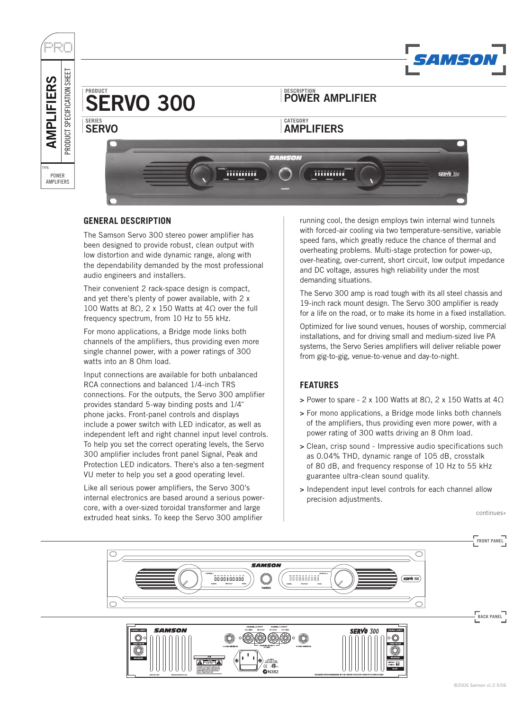

## **GENERAL DESCRIPTION**

The Samson Servo 300 stereo power amplifier has been designed to provide robust, clean output with low distortion and wide dynamic range, along with the dependability demanded by the most professional audio engineers and installers.

Their convenient 2 rack-space design is compact, and yet there's plenty of power available, with 2 x 100 Watts at 8Ω, 2 x 150 Watts at 4Ω over the full frequency spectrum, from 10 Hz to 55 kHz.

For mono applications, a Bridge mode links both channels of the amplifiers, thus providing even more single channel power, with a power ratings of 300 watts into an 8 Ohm load.

Input connections are available for both unbalanced RCA connections and balanced 1/4-inch TRS connections. For the outputs, the Servo 300 amplifier provides standard 5-way binding posts and 1/4˝ phone jacks. Front-panel controls and displays include a power switch with LED indicator, as well as independent left and right channel input level controls. To help you set the correct operating levels, the Servo 300 amplifier includes front panel Signal, Peak and Protection LED indicators. There's also a ten-segment VU meter to help you set a good operating level.

Like all serious power amplifiers, the Servo 300's internal electronics are based around a serious powercore, with a over-sized toroidal transformer and large extruded heat sinks. To keep the Servo 300 amplifier

running cool, the design employs twin internal wind tunnels with forced-air cooling via two temperature-sensitive, variable speed fans, which greatly reduce the chance of thermal and overheating problems. Multi-stage protection for power-up, over-heating, over-current, short circuit, low output impedance and DC voltage, assures high reliability under the most demanding situations.

The Servo 300 amp is road tough with its all steel chassis and 19-inch rack mount design. The Servo 300 amplifier is ready for a life on the road, or to make its home in a fixed installation.

Optimized for live sound venues, houses of worship, commercial installations, and for driving small and medium-sized live PA systems, the Servo Series amplifiers will deliver reliable power from gig-to-gig, venue-to-venue and day-to-night.

## **FEATURES**

- > Power to spare 2 x 100 Watts at 8 $\Omega$ , 2 x 150 Watts at 4 $\Omega$
- > For mono applications, a Bridge mode links both channels of the amplifiers, thus providing even more power, with a power rating of 300 watts driving an 8 Ohm load.
- > Clean, crisp sound Impressive audio specifications such as 0.04% THD, dynamic range of 105 dB, crosstalk of 80 dB, and frequency response of 10 Hz to 55 kHz guarantee ultra-clean sound quality.
- > Independent input level controls for each channel allow precision adjustments.

continues»